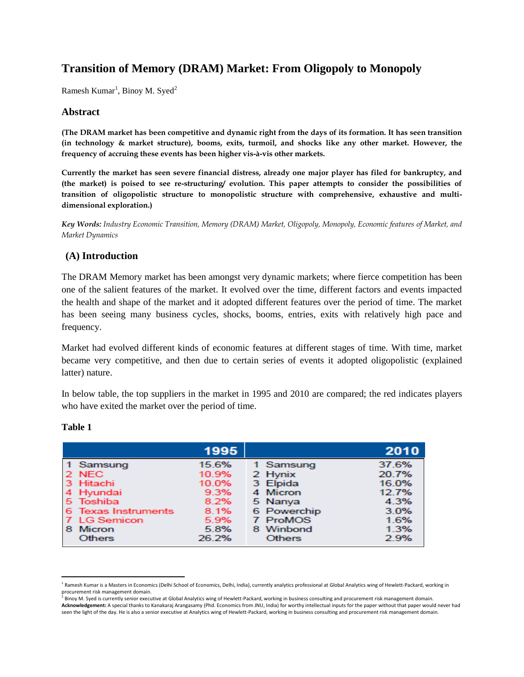# **Transition of Memory (DRAM) Market: From Oligopoly to Monopoly**

Ramesh  $Kumar<sup>1</sup>$ , Binoy M. Syed<sup>2</sup>

## **Abstract**

**(The DRAM market has been competitive and dynamic right from the days of its formation. It has seen transition (in technology & market structure), booms, exits, turmoil, and shocks like any other market. However, the frequency of accruing these events has been higher vis-à-vis other markets.**

**Currently the market has seen severe financial distress, already one major player has filed for bankruptcy, and (the market) is poised to see re-structuring/ evolution. This paper attempts to consider the possibilities of transition of oligopolistic structure to monopolistic structure with comprehensive, exhaustive and multidimensional exploration.)**

*Key Words: Industry Economic Transition, Memory (DRAM) Market, Oligopoly, Monopoly, Economic features of Market, and Market Dynamics*

## **(A) Introduction**

The DRAM Memory market has been amongst very dynamic markets; where fierce competition has been one of the salient features of the market. It evolved over the time, different factors and events impacted the health and shape of the market and it adopted different features over the period of time. The market has been seeing many business cycles, shocks, booms, entries, exits with relatively high pace and frequency.

Market had evolved different kinds of economic features at different stages of time. With time, market became very competitive, and then due to certain series of events it adopted oligopolistic (explained latter) nature.

In below table, the top suppliers in the market in 1995 and 2010 are compared; the red indicates players who have exited the market over the period of time.

|                                                                                  | 1995                                            |                                                                        | 2010                                             |
|----------------------------------------------------------------------------------|-------------------------------------------------|------------------------------------------------------------------------|--------------------------------------------------|
| 1 Samsung<br>2 NEC<br>3 Hitachi<br>4 Hyundai<br>5 Toshiba<br>6 Texas Instruments | 15.6%<br>10.9%<br>10.0%<br>9.3%<br>8.2%<br>8.1% | 1 Samsung<br>2 Hynix<br>3 Elpida<br>4 Micron<br>5 Nanya<br>6 Powerchip | 37.6%<br>20.7%<br>16.0%<br>12.7%<br>4.3%<br>3.0% |
| 7 LG Semicon<br><b>Micron</b><br>8<br><b>Others</b>                              | 5.9%<br>5.8%<br>26.2%                           | 7 ProMOS<br>8 Winbond<br><b>Others</b>                                 | 1.6%<br>1.3%<br>2.9%                             |

#### **Table 1**

l <sup>1</sup> Ramesh Kumar is a Masters in Economics (Delhi School of Economics, Delhi, India), currently analytics professional at Global Analytics wing of Hewlett-Packard, working in

procurement risk management domain.<br><sup>2</sup> Binoy M. Syed is currently senior executive at Global Analytics wing of Hewlett-Packard, working in business consulting and procurement risk management domain. **Acknowledgement:** A special thanks to Kanakaraj Arangasamy (Phd. Economics from JNU, India) for worthy intellectual inputs for the paper without that paper would never had seen the light of the day. He is also a senior executive at Analytics wing of Hewlett-Packard, working in business consulting and procurement risk management domain.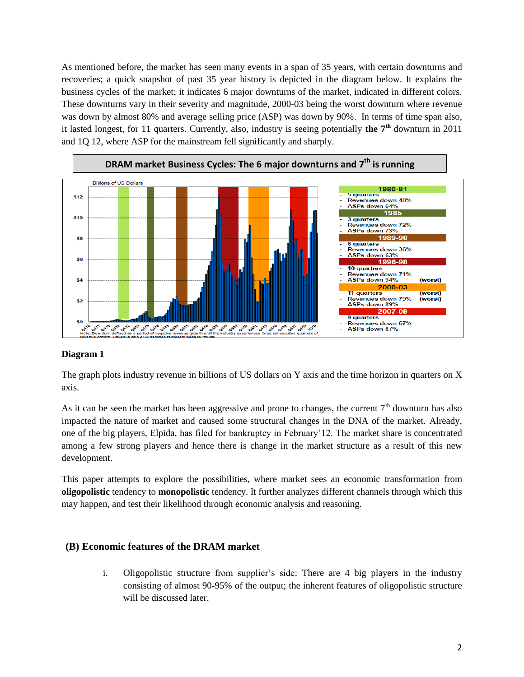As mentioned before, the market has seen many events in a span of 35 years, with certain downturns and recoveries; a quick snapshot of past 35 year history is depicted in the diagram below. It explains the business cycles of the market; it indicates 6 major downturns of the market, indicated in different colors. These downturns vary in their severity and magnitude, 2000-03 being the worst downturn where revenue was down by almost 80% and average selling price (ASP) was down by 90%. In terms of time span also, it lasted longest, for 11 quarters. Currently, also, industry is seeing potentially **the 7 th** downturn in 2011 and 1Q 12, where ASP for the mainstream fell significantly and sharply.



## **Diagram 1**

The graph plots industry revenue in billions of US dollars on Y axis and the time horizon in quarters on X axis.

As it can be seen the market has been aggressive and prone to changes, the current  $7<sup>th</sup>$  downturn has also impacted the nature of market and caused some structural changes in the DNA of the market. Already, one of the big players, Elpida, has filed for bankruptcy in February'12. The market share is concentrated among a few strong players and hence there is change in the market structure as a result of this new development.

This paper attempts to explore the possibilities, where market sees an economic transformation from **oligopolistic** tendency to **monopolistic** tendency. It further analyzes different channels through which this may happen, and test their likelihood through economic analysis and reasoning.

## **(B) Economic features of the DRAM market**

i. Oligopolistic structure from supplier's side: There are 4 big players in the industry consisting of almost 90-95% of the output; the inherent features of oligopolistic structure will be discussed later.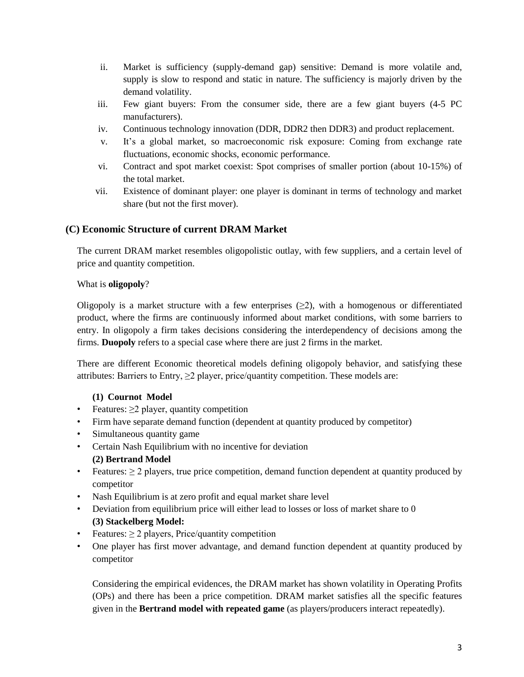- ii. Market is sufficiency (supply-demand gap) sensitive: Demand is more volatile and, supply is slow to respond and static in nature. The sufficiency is majorly driven by the demand volatility.
- iii. Few giant buyers: From the consumer side, there are a few giant buyers (4-5 PC manufacturers).
- iv. Continuous technology innovation (DDR, DDR2 then DDR3) and product replacement.
- v. It's a global market, so macroeconomic risk exposure: Coming from exchange rate fluctuations, economic shocks, economic performance.
- vi. Contract and spot market coexist: Spot comprises of smaller portion (about 10-15%) of the total market.
- vii. Existence of dominant player: one player is dominant in terms of technology and market share (but not the first mover).

## **(C) Economic Structure of current DRAM Market**

The current DRAM market resembles oligopolistic outlay, with few suppliers, and a certain level of price and quantity competition.

## What is **oligopoly**?

Oligopoly is a market structure with a few enterprises  $(\geq 2)$ , with a homogenous or differentiated product, where the firms are continuously informed about market conditions, with some barriers to entry. In oligopoly a firm takes decisions considering the interdependency of decisions among the firms. **Duopoly** refers to a special case where there are just 2 firms in the market.

There are different Economic theoretical models defining oligopoly behavior, and satisfying these attributes: Barriers to Entry,  $\geq 2$  player, price/quantity competition. These models are:

## **(1) Cournot Model**

- Features:  $\geq$ 2 player, quantity competition
- Firm have separate demand function (dependent at quantity produced by competitor)
- Simultaneous quantity game
- Certain Nash Equilibrium with no incentive for deviation **(2) Bertrand Model**
- Features:  $\geq 2$  players, true price competition, demand function dependent at quantity produced by competitor
- Nash Equilibrium is at zero profit and equal market share level
- Deviation from equilibrium price will either lead to losses or loss of market share to 0 **(3) Stackelberg Model:**
- Features:  $\geq 2$  players, Price/quantity competition
- One player has first mover advantage, and demand function dependent at quantity produced by competitor

Considering the empirical evidences, the DRAM market has shown volatility in Operating Profits (OPs) and there has been a price competition. DRAM market satisfies all the specific features given in the **Bertrand model with repeated game** (as players/producers interact repeatedly).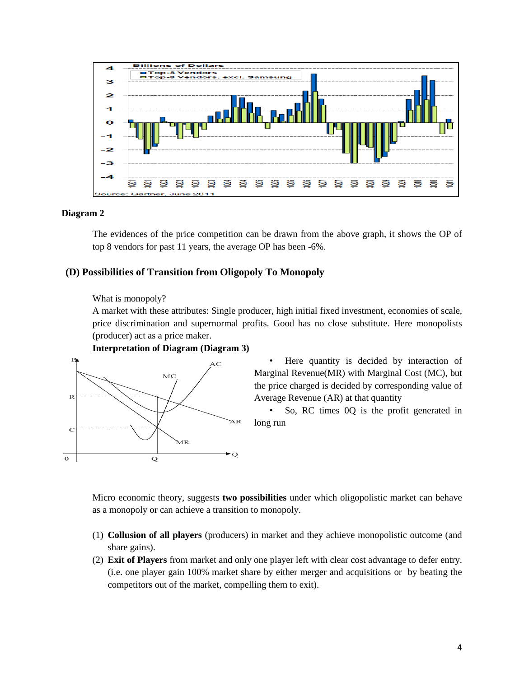

#### **Diagram 2**

The evidences of the price competition can be drawn from the above graph, it shows the OP of top 8 vendors for past 11 years, the average OP has been -6%.

## **(D) Possibilities of Transition from Oligopoly To Monopoly**

What is monopoly?

A market with these attributes: Single producer, high initial fixed investment, economies of scale, price discrimination and supernormal profits. Good has no close substitute. Here monopolists (producer) act as a price maker.



**Interpretation of Diagram (Diagram 3)**

• Here quantity is decided by interaction of Marginal Revenue(MR) with Marginal Cost (MC), but the price charged is decided by corresponding value of Average Revenue (AR) at that quantity

• So, RC times 0Q is the profit generated in long run

Micro economic theory, suggests **two possibilities** under which oligopolistic market can behave as a monopoly or can achieve a transition to monopoly.

- (1) **Collusion of all players** (producers) in market and they achieve monopolistic outcome (and share gains).
- (2) **Exit of Players** from market and only one player left with clear cost advantage to defer entry. (i.e. one player gain 100% market share by either merger and acquisitions or by beating the competitors out of the market, compelling them to exit).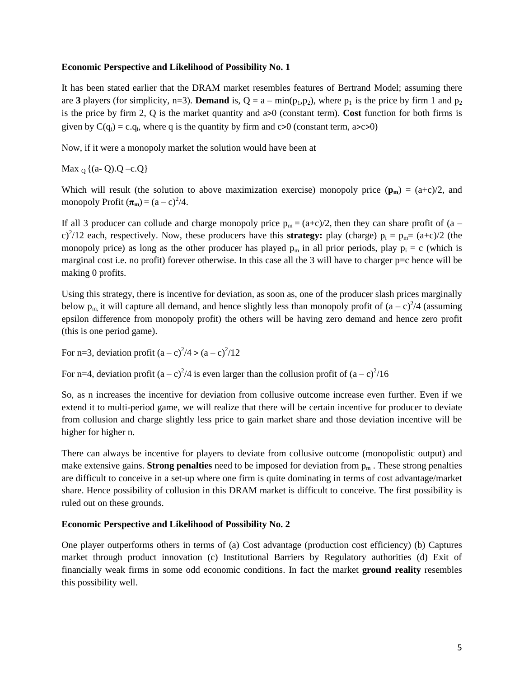### **Economic Perspective and Likelihood of Possibility No. 1**

It has been stated earlier that the DRAM market resembles features of Bertrand Model; assuming there are **3** players (for simplicity, n=3). **Demand** is,  $Q = a - \min(p_1, p_2)$ , where  $p_1$  is the price by firm 1 and  $p_2$ is the price by firm 2, Q is the market quantity and a>0 (constant term). **Cost** function for both firms is given by  $C(q_i) = c.q_i$ , where q is the quantity by firm and  $c>0$  (constant term,  $a>c>0$ )

Now, if it were a monopoly market the solution would have been at

Max  $_0$  {(a- Q).Q –c.Q}

Which will result (the solution to above maximization exercise) monopoly price  $(\mathbf{p_m}) = (a+c)/2$ , and monopoly Profit  $(\pi_{\mathbf{m}}) = (a - c)^2/4$ .

If all 3 producer can collude and charge monopoly price  $p_m = (a+c)/2$ , then they can share profit of  $(a$ c)<sup>2</sup>/12 each, respectively. Now, these producers have this **strategy:** play (charge)  $p_i = p_m = (a+c)/2$  (the monopoly price) as long as the other producer has played  $p_m$  in all prior periods, play  $p_i = c$  (which is marginal cost i.e. no profit) forever otherwise. In this case all the 3 will have to charger p=c hence will be making 0 profits.

Using this strategy, there is incentive for deviation, as soon as, one of the producer slash prices marginally below  $p_m$ , it will capture all demand, and hence slightly less than monopoly profit of  $(a - c)^2/4$  (assuming epsilon difference from monopoly profit) the others will be having zero demand and hence zero profit (this is one period game).

For n=3, deviation profit  $(a - c)^2/4 > (a - c)^2/12$ 

For n=4, deviation profit  $(a - c)^2/4$  is even larger than the collusion profit of  $(a - c)^2/16$ 

So, as n increases the incentive for deviation from collusive outcome increase even further. Even if we extend it to multi-period game, we will realize that there will be certain incentive for producer to deviate from collusion and charge slightly less price to gain market share and those deviation incentive will be higher for higher n.

There can always be incentive for players to deviate from collusive outcome (monopolistic output) and make extensive gains. **Strong penalties** need to be imposed for deviation from  $p_m$ . These strong penalties are difficult to conceive in a set-up where one firm is quite dominating in terms of cost advantage/market share. Hence possibility of collusion in this DRAM market is difficult to conceive. The first possibility is ruled out on these grounds.

## **Economic Perspective and Likelihood of Possibility No. 2**

One player outperforms others in terms of (a) Cost advantage (production cost efficiency) (b) Captures market through product innovation (c) Institutional Barriers by Regulatory authorities (d) Exit of financially weak firms in some odd economic conditions. In fact the market **ground reality** resembles this possibility well.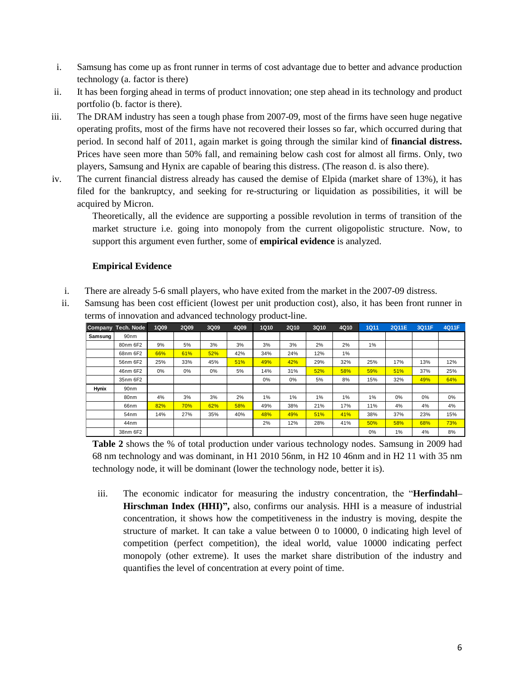- i. Samsung has come up as front runner in terms of cost advantage due to better and advance production technology (a. factor is there)
- ii. It has been forging ahead in terms of product innovation; one step ahead in its technology and product portfolio (b. factor is there).
- iii. The DRAM industry has seen a tough phase from 2007-09, most of the firms have seen huge negative operating profits, most of the firms have not recovered their losses so far, which occurred during that period. In second half of 2011, again market is going through the similar kind of **financial distress.** Prices have seen more than 50% fall, and remaining below cash cost for almost all firms. Only, two players, Samsung and Hynix are capable of bearing this distress. (The reason d. is also there).
- iv. The current financial distress already has caused the demise of Elpida (market share of 13%), it has filed for the bankruptcy, and seeking for re-structuring or liquidation as possibilities, it will be acquired by Micron.

Theoretically, all the evidence are supporting a possible revolution in terms of transition of the market structure i.e. going into monopoly from the current oligopolistic structure. Now, to support this argument even further, some of **empirical evidence** is analyzed.

## **Empirical Evidence**

- i. There are already 5-6 small players, who have exited from the market in the 2007-09 distress.
- ii. Samsung has been cost efficient (lowest per unit production cost), also, it has been front runner in

|              | Company Tech. Node | 1Q09  | 2Q09  | 3Q09 | 4Q09 | <b>1Q10</b> | 2Q10 | 3Q10 | 4Q10 | <b>1Q11</b> | 2Q11E | 3Q11F | 4Q11F |
|--------------|--------------------|-------|-------|------|------|-------------|------|------|------|-------------|-------|-------|-------|
| Samsung      | 90 <sub>nm</sub>   |       |       |      |      |             |      |      |      |             |       |       |       |
|              | 80nm 6F2           | 9%    | 5%    | 3%   | 3%   | 3%          | 3%   | 2%   | 2%   | $1\%$       |       |       |       |
|              | 68nm 6F2           | 66%   | 61%   | 52%  | 42%  | 34%         | 24%  | 12%  | 1%   |             |       |       |       |
|              | 56nm 6F2           | 25%   | 33%   | 45%  | 51%  | 49%         | 42%  | 29%  | 32%  | 25%         | 17%   | 13%   | 12%   |
|              | 46nm 6F2           | $0\%$ | $0\%$ | 0%   | 5%   | 14%         | 31%  | 52%  | 58%  | 59%         | 51%   | 37%   | 25%   |
|              | 35nm 6F2           |       |       |      |      | 0%          | 0%   | 5%   | 8%   | 15%         | 32%   | 49%   | 64%   |
| <b>Hynix</b> | 90 <sub>nm</sub>   |       |       |      |      |             |      |      |      |             |       |       |       |
|              | 80nm               | 4%    | 3%    | 3%   | 2%   | 1%          | 1%   | 1%   | 1%   | 1%          | $0\%$ | 0%    | 0%    |
|              | 66nm               | 82%   | 70%   | 62%  | 58%  | 49%         | 38%  | 21%  | 17%  | 11%         | 4%    | 4%    | 4%    |
|              | 54 <sub>nm</sub>   | 14%   | 27%   | 35%  | 40%  | 48%         | 49%  | 51%  | 41%  | 38%         | 37%   | 23%   | 15%   |
|              | 44nm               |       |       |      |      | 2%          | 12%  | 28%  | 41%  | 50%         | 58%   | 68%   | 73%   |
|              | 38nm 6F2           |       |       |      |      |             |      |      |      | 0%          | 1%    | 4%    | 8%    |

**Table 2** shows the % of total production under various technology nodes. Samsung in 2009 had 68 nm technology and was dominant, in H1 2010 56nm, in H2 10 46nm and in H2 11 with 35 nm technology node, it will be dominant (lower the technology node, better it is).

iii. The economic indicator for measuring the industry concentration, the "**Herfindahl– Hirschman Index (HHI)",** also, confirms our analysis. HHI is a measure of industrial concentration, it shows how the competitiveness in the industry is moving, despite the structure of market. It can take a value between 0 to 10000, 0 indicating high level of competition (perfect competition), the ideal world, value 10000 indicating perfect monopoly (other extreme). It uses the market share distribution of the industry and quantifies the level of concentration at every point of time.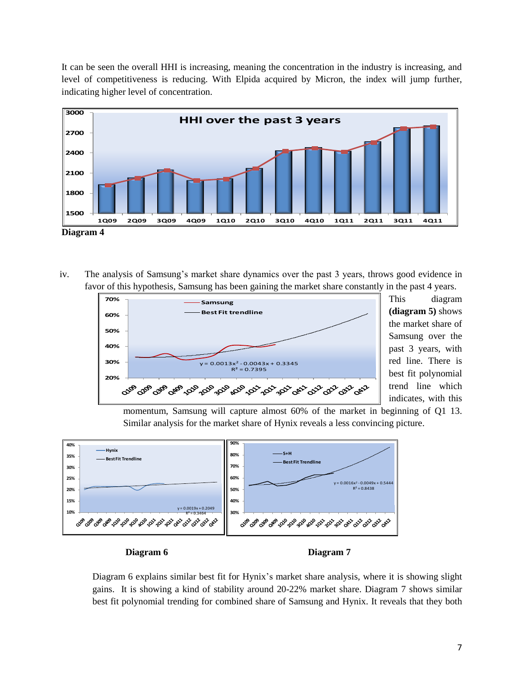It can be seen the overall HHI is increasing, meaning the concentration in the industry is increasing, and level of competitiveness is reducing. With Elpida acquired by Micron, the index will jump further, indicating higher level of concentration.



iv. The analysis of Samsung's market share dynamics over the past 3 years, throws good evidence in favor of this hypothesis, Samsung has been gaining the market share constantly in the past 4 years.



This diagram **(diagram 5)** shows the market share of Samsung over the past 3 years, with red line. There is best fit polynomial trend line which indicates, with this

momentum, Samsung will capture almost 60% of the market in beginning of Q1 13. Similar analysis for the market share of Hynix reveals a less convincing picture.



Diagram 6 explains similar best fit for Hynix's market share analysis, where it is showing slight gains. It is showing a kind of stability around 20-22% market share. Diagram 7 shows similar best fit polynomial trending for combined share of Samsung and Hynix. It reveals that they both